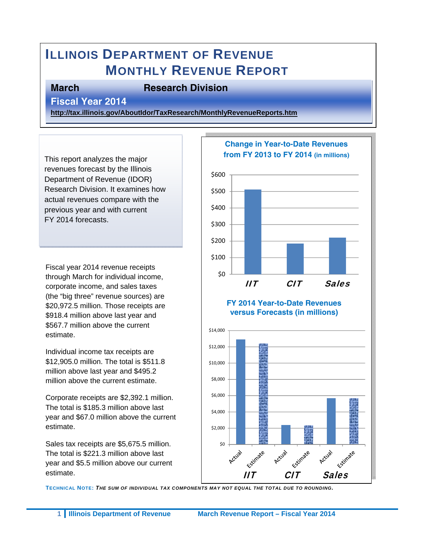# **ILLINOIS DEPARTMENT OF REVENUE MONTHLY REVENUE REPORT**

#### **March Research Division**

**Fiscal Year 2014** 

**http://tax.illinois.gov/AboutIdor/TaxResearch/MonthlyRevenueReports.htm**

This report analyzes the major revenues forecast by the Illinois Department of Revenue (IDOR) Research Division. It examines how actual revenues compare with the previous year and with current FY 2014 forecasts.

Fiscal year 2014 revenue receipts through March for individual income, corporate income, and sales taxes (the "big three" revenue sources) are \$20,972.5 million. Those receipts are \$918.4 million above last year and \$567.7 million above the current estimate.

Individual income tax receipts are \$12,905.0 million. The total is \$511.8 million above last year and \$495.2 million above the current estimate.

Corporate receipts are \$2,392.1 million. The total is \$185.3 million above last year and \$67.0 million above the current estimate.

Sales tax receipts are \$5,675.5 million. The total is \$221.3 million above last year and \$5.5 million above our current estimate.



**TECHNICAL NOTE:** *THE SUM OF INDIVIDUAL TAX COMPONENTS MAY NOT EQUAL THE TOTAL DUE TO ROUNDING.*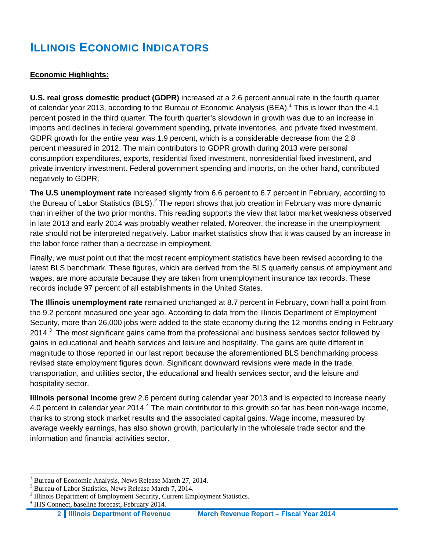# **ILLINOIS ECONOMIC INDICATORS**

#### **Economic Highlights:**

**U.S. real gross domestic product (GDPR)** increased at a 2.6 percent annual rate in the fourth quarter of calendar year 2013, according to the Bureau of Economic Analysis (BEA).<sup>1</sup> This is lower than the 4.1 percent posted in the third quarter. The fourth quarter's slowdown in growth was due to an increase in imports and declines in federal government spending, private inventories, and private fixed investment. GDPR growth for the entire year was 1.9 percent, which is a considerable decrease from the 2.8 percent measured in 2012. The main contributors to GDPR growth during 2013 were personal consumption expenditures, exports, residential fixed investment, nonresidential fixed investment, and private inventory investment. Federal government spending and imports, on the other hand, contributed negatively to GDPR.

**The U.S unemployment rate** increased slightly from 6.6 percent to 6.7 percent in February, according to the Bureau of Labor Statistics (BLS).<sup>2</sup> The report shows that job creation in February was more dynamic than in either of the two prior months. This reading supports the view that labor market weakness observed in late 2013 and early 2014 was probably weather related. Moreover, the increase in the unemployment rate should not be interpreted negatively. Labor market statistics show that it was caused by an increase in the labor force rather than a decrease in employment.

Finally, we must point out that the most recent employment statistics have been revised according to the latest BLS benchmark. These figures, which are derived from the BLS quarterly census of employment and wages, are more accurate because they are taken from unemployment insurance tax records. These records include 97 percent of all establishments in the United States.

**The Illinois unemployment rate** remained unchanged at 8.7 percent in February, down half a point from the 9.2 percent measured one year ago. According to data from the Illinois Department of Employment Security, more than 26,000 jobs were added to the state economy during the 12 months ending in February 2014. $3$  The most significant gains came from the professional and business services sector followed by gains in educational and health services and leisure and hospitality. The gains are quite different in magnitude to those reported in our last report because the aforementioned BLS benchmarking process revised state employment figures down. Significant downward revisions were made in the trade, transportation, and utilities sector, the educational and health services sector, and the leisure and hospitality sector.

**Illinois personal income** grew 2.6 percent during calendar year 2013 and is expected to increase nearly 4.0 percent in calendar year 2014.<sup>4</sup> The main contributor to this growth so far has been non-wage income, thanks to strong stock market results and the associated capital gains. Wage income, measured by average weekly earnings, has also shown growth, particularly in the wholesale trade sector and the information and financial activities sector.

 $\overline{a}$ <sup>1</sup> Bureau of Economic Analysis, News Release March 27, 2014.

<sup>&</sup>lt;sup>2</sup> Bureau of Labor Statistics, News Release March 7, 2014.

<sup>&</sup>lt;sup>3</sup> Illinois Department of Employment Security, Current Employment Statistics.

<sup>4</sup> IHS Connect, baseline forecast, February 2014.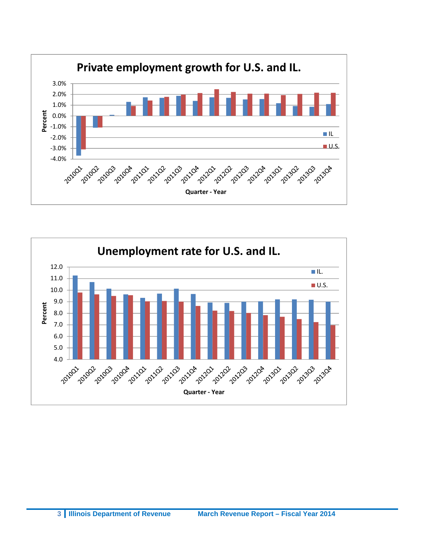

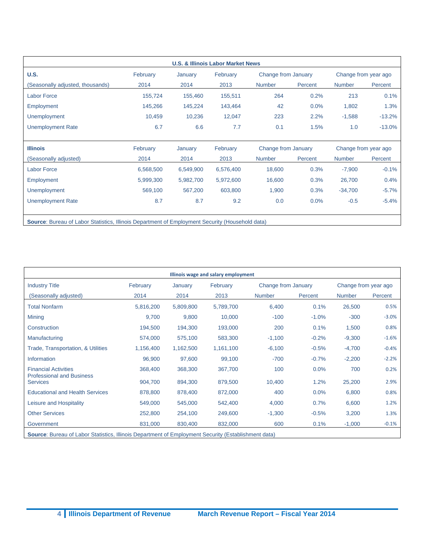| <b>U.S.</b>                      | February  | January   | February  | Change from January |         |               | Change from year ago |
|----------------------------------|-----------|-----------|-----------|---------------------|---------|---------------|----------------------|
| (Seasonally adjusted, thousands) | 2014      | 2014      | 2013      | <b>Number</b>       | Percent | <b>Number</b> | Percent              |
| <b>Labor Force</b>               | 155,724   | 155,460   | 155,511   | 264                 | 0.2%    | 213           | 0.1%                 |
| Employment                       | 145,266   | 145,224   | 143,464   | 42                  | 0.0%    | 1,802         | 1.3%                 |
| <b>Unemployment</b>              | 10,459    | 10,236    | 12,047    | 223                 | 2.2%    | $-1,588$      | $-13.2%$             |
| <b>Unemployment Rate</b>         | 6.7       | 6.6       | 7.7       | 0.1                 | 1.5%    | 1.0           | $-13.0%$             |
| <b>Illinois</b>                  | February  | January   | February  | Change from January |         |               | Change from year ago |
| (Seasonally adjusted)            | 2014      | 2014      | 2013      | Number              | Percent | <b>Number</b> | Percent              |
| <b>Labor Force</b>               | 6,568,500 | 6,549,900 | 6,576,400 | 18,600              | 0.3%    | $-7,900$      | $-0.1%$              |
| Employment                       | 5,999,300 | 5,982,700 | 5,972,600 | 16,600              | 0.3%    | 26,700        | 0.4%                 |
|                                  | 569,100   | 567,200   | 603,800   | 1,900               | 0.3%    | $-34,700$     | $-5.7%$              |
| <b>Unemployment</b>              |           |           | 9.2       | 0.0                 | 0.0%    | $-0.5$        | $-5.4%$              |

| Illinois wage and salary employment                             |           |           |           |               |                     |               |                      |  |
|-----------------------------------------------------------------|-----------|-----------|-----------|---------------|---------------------|---------------|----------------------|--|
| <b>Industry Title</b>                                           | February  | January   | February  |               | Change from January |               | Change from year ago |  |
| (Seasonally adjusted)                                           | 2014      | 2014      | 2013      | <b>Number</b> | Percent             | <b>Number</b> | Percent              |  |
| <b>Total Nonfarm</b>                                            | 5,816,200 | 5,809,800 | 5,789,700 | 6,400         | 0.1%                | 26,500        | 0.5%                 |  |
| <b>Mining</b>                                                   | 9,700     | 9,800     | 10,000    | $-100$        | $-1.0%$             | $-300$        | $-3.0%$              |  |
| Construction                                                    | 194,500   | 194,300   | 193,000   | 200           | 0.1%                | 1,500         | 0.8%                 |  |
| Manufacturing                                                   | 574,000   | 575,100   | 583,300   | $-1,100$      | $-0.2%$             | $-9,300$      | $-1.6%$              |  |
| Trade, Transportation, & Utilities                              | 1,156,400 | 1,162,500 | 1,161,100 | $-6,100$      | $-0.5%$             | $-4,700$      | $-0.4%$              |  |
| Information                                                     | 96,900    | 97,600    | 99,100    | $-700$        | $-0.7%$             | $-2,200$      | $-2.2%$              |  |
| <b>Financial Activities</b><br><b>Professional and Business</b> | 368,400   | 368,300   | 367,700   | 100           | 0.0%                | 700           | 0.2%                 |  |
| <b>Services</b>                                                 | 904,700   | 894,300   | 879,500   | 10,400        | 1.2%                | 25,200        | 2.9%                 |  |
| <b>Educational and Health Services</b>                          | 878,800   | 878,400   | 872,000   | 400           | 0.0%                | 6,800         | 0.8%                 |  |
| Leisure and Hospitality                                         | 549,000   | 545,000   | 542,400   | 4,000         | 0.7%                | 6,600         | 1.2%                 |  |
| <b>Other Services</b>                                           | 252,800   | 254,100   | 249,600   | $-1,300$      | $-0.5%$             | 3,200         | 1.3%                 |  |
| Government                                                      | 831,000   | 830,400   | 832,000   | 600           | 0.1%                | $-1,000$      | $-0.1%$              |  |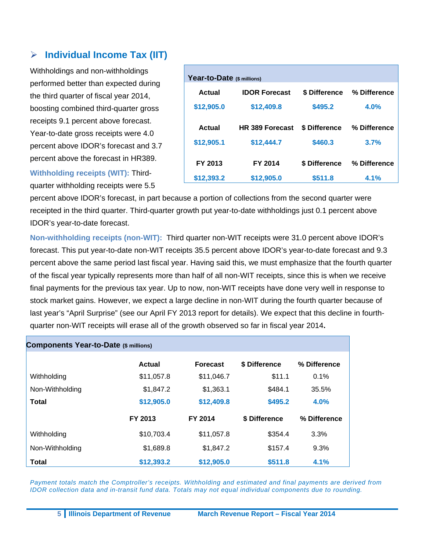## **Individual Income Tax (IIT)**

Withholdings and non-withholdings performed better than expected during the third quarter of fiscal year 2014, boosting combined third-quarter gross receipts 9.1 percent above forecast. Year-to-date gross receipts were 4.0 percent above IDOR's forecast and 3.7 percent above the forecast in HR389.

**Withholding receipts (WIT):** Thirdquarter withholding receipts were 5.5

| Year-to-Date (\$ millions) |                        |               |              |  |  |  |
|----------------------------|------------------------|---------------|--------------|--|--|--|
| Actual                     | <b>IDOR Forecast</b>   | \$ Difference | % Difference |  |  |  |
| \$12,905.0                 | \$12,409.8             | \$495.2       | 4.0%         |  |  |  |
| Actual                     | <b>HR 389 Forecast</b> | \$ Difference | % Difference |  |  |  |
| \$12,905.1                 | \$12,444.7             | \$460.3       | 3.7%         |  |  |  |
| FY 2013                    | FY 2014                | \$ Difference | % Difference |  |  |  |
| \$12,393.2                 | \$12,905.0             | \$511.8       | 4.1%         |  |  |  |

percent above IDOR's forecast, in part because a portion of collections from the second quarter were receipted in the third quarter. Third-quarter growth put year-to-date withholdings just 0.1 percent above IDOR's year-to-date forecast.

**Non-withholding receipts (non-WIT):** Third quarter non-WIT receipts were 31.0 percent above IDOR's forecast. This put year-to-date non-WIT receipts 35.5 percent above IDOR's year-to-date forecast and 9.3 percent above the same period last fiscal year. Having said this, we must emphasize that the fourth quarter of the fiscal year typically represents more than half of all non-WIT receipts, since this is when we receive final payments for the previous tax year. Up to now, non-WIT receipts have done very well in response to stock market gains. However, we expect a large decline in non-WIT during the fourth quarter because of last year's "April Surprise" (see our April FY 2013 report for details). We expect that this decline in fourthquarter non-WIT receipts will erase all of the growth observed so far in fiscal year 2014**.**

| <b>Components Year-to-Date (\$ millions)</b> |               |                 |               |              |  |  |
|----------------------------------------------|---------------|-----------------|---------------|--------------|--|--|
|                                              | <b>Actual</b> | <b>Forecast</b> | \$ Difference | % Difference |  |  |
| Withholding                                  | \$11,057.8    | \$11,046.7      | \$11.1        | $0.1\%$      |  |  |
| Non-Withholding                              | \$1,847.2     | \$1,363.1       | \$484.1       | 35.5%        |  |  |
| <b>Total</b>                                 | \$12,905.0    | \$12,409.8      | \$495.2       | 4.0%         |  |  |
|                                              | FY 2013       | FY 2014         | \$ Difference | % Difference |  |  |
| Withholding                                  | \$10,703.4    | \$11,057.8      | \$354.4       | 3.3%         |  |  |
| Non-Withholding                              | \$1,689.8     | \$1,847.2       | \$157.4       | 9.3%         |  |  |
| Total                                        | \$12,393.2    | \$12,905.0      | \$511.8       | 4.1%         |  |  |

Payment totals match the Comptroller's receipts. Withholding and estimated and final payments are derived from *IDOR collection data and in-transit fund data. Totals may not equal individual components due to rounding.*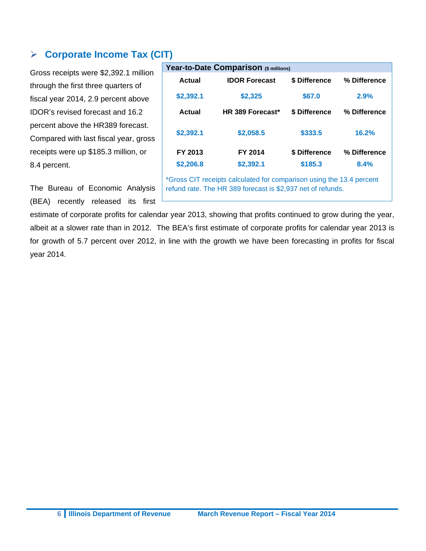## **Corporate Income Tax (CIT)**

Gross receipts were \$2,392.1 million through the first three quarters of fiscal year 2014, 2.9 percent above IDOR's revised forecast and 16.2 percent above the HR389 forecast. Compared with last fiscal year, gross receipts were up \$185.3 million, or 8.4 percent.

The Bureau of Economic Analysis (BEA) recently released its first

| Year-to-Date Comparison (\$ millions)                                                                                               |                      |               |              |  |  |  |
|-------------------------------------------------------------------------------------------------------------------------------------|----------------------|---------------|--------------|--|--|--|
| Actual                                                                                                                              | <b>IDOR Forecast</b> | \$ Difference | % Difference |  |  |  |
| \$2,392.1                                                                                                                           | \$2,325              | \$67.0        | 2.9%         |  |  |  |
| Actual                                                                                                                              | HR 389 Forecast*     | \$ Difference | % Difference |  |  |  |
| \$2,392.1                                                                                                                           | \$2,058.5            | \$333.5       | 16.2%        |  |  |  |
| FY 2013                                                                                                                             | FY 2014              | \$ Difference | % Difference |  |  |  |
| \$2,206.8                                                                                                                           | \$2,392.1            | \$185.3       | 8.4%         |  |  |  |
| *Gross CIT receipts calculated for comparison using the 13.4 percent<br>refund rate. The HR 389 forecast is \$2,937 net of refunds. |                      |               |              |  |  |  |

estimate of corporate profits for calendar year 2013, showing that profits continued to grow during the year, albeit at a slower rate than in 2012. The BEA's first estimate of corporate profits for calendar year 2013 is for growth of 5.7 percent over 2012, in line with the growth we have been forecasting in profits for fiscal year 2014.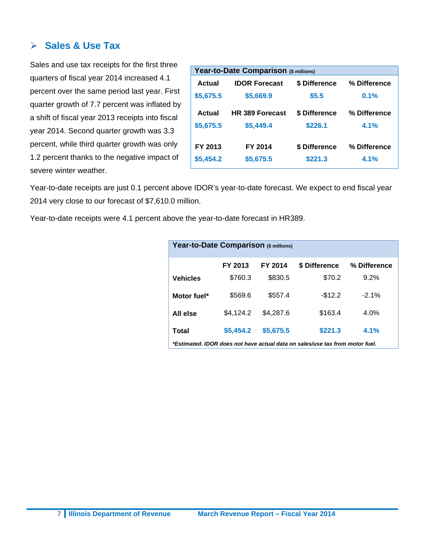#### **Sales & Use Tax**

Sales and use tax receipts for the first three quarters of fiscal year 2014 increased 4.1 percent over the same period last year. First quarter growth of 7.7 percent was inflated by a shift of fiscal year 2013 receipts into fiscal year 2014. Second quarter growth was 3.3 percent, while third quarter growth was only 1.2 percent thanks to the negative impact of severe winter weather.

| Year-to-Date Comparison (\$ millions) |                        |               |              |  |  |  |
|---------------------------------------|------------------------|---------------|--------------|--|--|--|
| Actual                                | <b>IDOR Forecast</b>   | \$ Difference | % Difference |  |  |  |
| \$5,675.5                             | \$5,669.9              | \$5.5         | 0.1%         |  |  |  |
| Actual                                | <b>HR 389 Forecast</b> | \$ Difference | % Difference |  |  |  |
| \$5,675.5                             | \$5,449.4              | \$226.1       | 4.1%         |  |  |  |
|                                       |                        |               |              |  |  |  |
| FY 2013                               | FY 2014                | \$ Difference | % Difference |  |  |  |
| \$5,454.2                             | \$5,675.5              | \$221.3       | 4.1%         |  |  |  |

Year-to-date receipts are just 0.1 percent above IDOR's year-to-date forecast. We expect to end fiscal year 2014 very close to our forecast of \$7,610.0 million.

Year-to-date receipts were 4.1 percent above the year-to-date forecast in HR389.

| Year-to-Date Comparison (\$ millions) |           |           |                                                                              |              |  |  |
|---------------------------------------|-----------|-----------|------------------------------------------------------------------------------|--------------|--|--|
|                                       | FY 2013   | FY 2014   | \$ Difference                                                                | % Difference |  |  |
| <b>Vehicles</b>                       | \$760.3   | \$830.5   | \$70.2                                                                       | 9.2%         |  |  |
| Motor fuel*                           | \$569.6   | \$557.4   | $-$12.2$                                                                     | $-2.1%$      |  |  |
| All else                              | \$4,124.2 | \$4.287.6 | \$163.4                                                                      | 4.0%         |  |  |
| Total                                 | \$5,454.2 | \$5,675.5 | \$221.3                                                                      | 4.1%         |  |  |
|                                       |           |           | *Estimated. IDOR does not have actual data on sales/use tax from motor fuel. |              |  |  |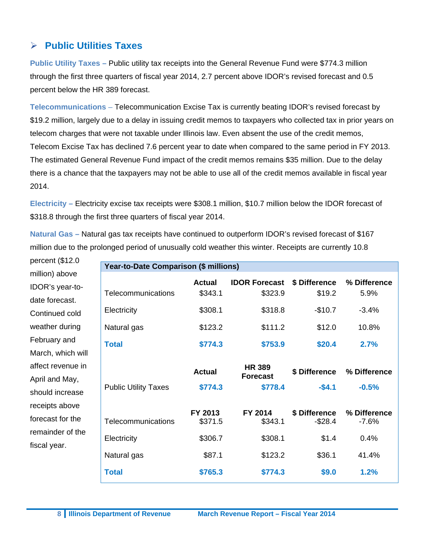# **Public Utilities Taxes**

**Public Utility Taxes –** Public utility tax receipts into the General Revenue Fund were \$774.3 million through the first three quarters of fiscal year 2014, 2.7 percent above IDOR's revised forecast and 0.5 percent below the HR 389 forecast.

**Telecommunications** – Telecommunication Excise Tax is currently beating IDOR's revised forecast by \$19.2 million, largely due to a delay in issuing credit memos to taxpayers who collected tax in prior years on telecom charges that were not taxable under Illinois law. Even absent the use of the credit memos, Telecom Excise Tax has declined 7.6 percent year to date when compared to the same period in FY 2013. The estimated General Revenue Fund impact of the credit memos remains \$35 million. Due to the delay there is a chance that the taxpayers may not be able to use all of the credit memos available in fiscal year 2014.

**Electricity –** Electricity excise tax receipts were \$308.1 million, \$10.7 million below the IDOR forecast of \$318.8 through the first three quarters of fiscal year 2014.

**Natural Gas –** Natural gas tax receipts have continued to outperform IDOR's revised forecast of \$167 million due to the prolonged period of unusually cold weather this winter. Receipts are currently 10.8

percent (\$12.0 million) above IDOR's year-todate forecast. Continued cold weather during February and March, which will affect revenue in April and May, should increase receipts above forecast for the remainder of the fiscal year.

| Year-to-Date Comparison (\$ millions) |                          |                                             |                             |                         |  |  |
|---------------------------------------|--------------------------|---------------------------------------------|-----------------------------|-------------------------|--|--|
| Telecommunications                    | <b>Actual</b><br>\$343.1 | <b>IDOR Forecast</b><br>\$323.9             | \$ Difference<br>\$19.2     | % Difference<br>5.9%    |  |  |
| Electricity                           | \$308.1                  | \$318.8                                     | $-$10.7$                    | $-3.4%$                 |  |  |
| Natural gas                           | \$123.2                  | \$111.2                                     | \$12.0                      | 10.8%                   |  |  |
| <b>Total</b>                          | \$774.3                  | \$753.9                                     | \$20.4                      | 2.7%                    |  |  |
| <b>Public Utility Taxes</b>           | <b>Actual</b><br>\$774.3 | <b>HR 389</b><br><b>Forecast</b><br>\$778.4 | \$ Difference<br>$-$4.1$    | % Difference<br>$-0.5%$ |  |  |
| Telecommunications                    | FY 2013<br>\$371.5       | FY 2014<br>\$343.1                          | \$ Difference<br>$-$ \$28.4 | % Difference<br>$-7.6%$ |  |  |
| Electricity                           | \$306.7                  | \$308.1                                     | \$1.4                       | 0.4%                    |  |  |
| Natural gas                           | \$87.1                   | \$123.2                                     | \$36.1                      | 41.4%                   |  |  |
| <b>Total</b>                          | \$765.3                  | \$774.3                                     | \$9.0                       | 1.2%                    |  |  |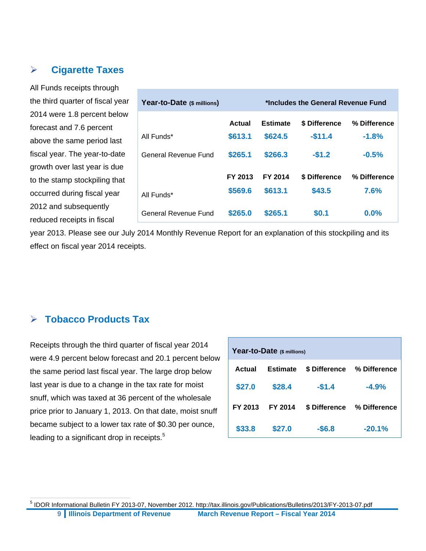## **Cigarette Taxes**

All Funds receipts through the third quarter of fiscal year 2014 were 1.8 percent below forecast and 7.6 percent above the same period last fiscal year. The year-to-date growth over last year is due to the stamp stockpiling that occurred during fiscal year 2012 and subsequently reduced receipts in fiscal

| Year-to-Date (\$ millions) | *Includes the General Revenue Fund |                 |               |              |  |  |
|----------------------------|------------------------------------|-----------------|---------------|--------------|--|--|
|                            | Actual                             | <b>Estimate</b> | \$ Difference | % Difference |  |  |
| All Funds*                 | \$613.1                            | \$624.5         | $-$11.4$      | $-1.8%$      |  |  |
| General Revenue Fund       | \$265.1                            | \$266.3         | $-$1.2$       | $-0.5%$      |  |  |
|                            | FY 2013                            | FY 2014         | \$ Difference | % Difference |  |  |
| All Funds*                 | \$569.6                            | \$613.1         | \$43.5        | 7.6%         |  |  |
| General Revenue Fund       | \$265.0                            | \$265.1         | \$0.1         | 0.0%         |  |  |

year 2013. Please see our July 2014 Monthly Revenue Report for an explanation of this stockpiling and its effect on fiscal year 2014 receipts.

#### **Tobacco Products Tax**

 $\overline{a}$ 

Receipts through the third quarter of fiscal year 2014 were 4.9 percent below forecast and 20.1 percent below the same period last fiscal year. The large drop below last year is due to a change in the tax rate for moist snuff, which was taxed at 36 percent of the wholesale price prior to January 1, 2013. On that date, moist snuff became subject to a lower tax rate of \$0.30 per ounce, leading to a significant drop in receipts.<sup>5</sup>

| Year-to-Date (\$ millions) |                 |               |              |  |  |  |
|----------------------------|-----------------|---------------|--------------|--|--|--|
| Actual                     | <b>Estimate</b> | \$ Difference | % Difference |  |  |  |
| \$27.0                     | \$28.4          | $-$1.4$       | $-4.9%$      |  |  |  |
| FY 2013                    | FY 2014         | \$ Difference | % Difference |  |  |  |
| \$33.8                     | \$27.0          | $-$6.8$       | $-20.1%$     |  |  |  |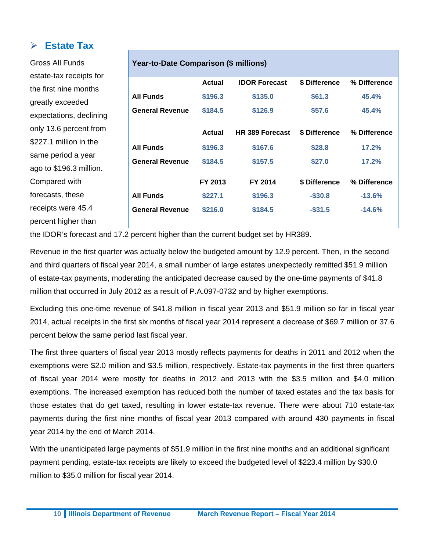#### **Estate Tax**

| Gross All Funds                                                                   | Year-to-Date Comparison (\$ millions) |               |                      |               |              |  |
|-----------------------------------------------------------------------------------|---------------------------------------|---------------|----------------------|---------------|--------------|--|
| estate-tax receipts for                                                           |                                       |               |                      |               |              |  |
| the first nine months                                                             |                                       | <b>Actual</b> | <b>IDOR Forecast</b> | \$ Difference | % Difference |  |
| greatly exceeded                                                                  | <b>All Funds</b>                      | \$196.3       | \$135.0              | \$61.3        | 45.4%        |  |
| expectations, declining                                                           | <b>General Revenue</b>                | \$184.5       | \$126.9              | \$57.6        | 45.4%        |  |
| only 13.6 percent from                                                            |                                       | <b>Actual</b> | HR 389 Forecast      | \$ Difference | % Difference |  |
| \$227.1 million in the                                                            | <b>All Funds</b>                      | \$196.3       | \$167.6              | \$28.8        | 17.2%        |  |
| same period a year                                                                |                                       |               |                      |               |              |  |
| ago to \$196.3 million.                                                           | <b>General Revenue</b>                | \$184.5       | \$157.5              | \$27.0        | 17.2%        |  |
| Compared with                                                                     |                                       | FY 2013       | FY 2014              | \$ Difference | % Difference |  |
| forecasts, these                                                                  | <b>All Funds</b>                      | \$227.1       | \$196.3              | $-$ \$30.8    | $-13.6%$     |  |
| receipts were 45.4                                                                | <b>General Revenue</b>                | \$216.0       | \$184.5              | $-$ \$31.5    | $-14.6%$     |  |
| percent higher than                                                               |                                       |               |                      |               |              |  |
| the IDOR's forecast and 17.2 percent higher than the current budget set by HR389. |                                       |               |                      |               |              |  |

Revenue in the first quarter was actually below the budgeted amount by 12.9 percent. Then, in the second and third quarters of fiscal year 2014, a small number of large estates unexpectedly remitted \$51.9 million of estate-tax payments, moderating the anticipated decrease caused by the one-time payments of \$41.8 million that occurred in July 2012 as a result of P.A.097-0732 and by higher exemptions.

Excluding this one-time revenue of \$41.8 million in fiscal year 2013 and \$51.9 million so far in fiscal year 2014, actual receipts in the first six months of fiscal year 2014 represent a decrease of \$69.7 million or 37.6 percent below the same period last fiscal year.

The first three quarters of fiscal year 2013 mostly reflects payments for deaths in 2011 and 2012 when the exemptions were \$2.0 million and \$3.5 million, respectively. Estate-tax payments in the first three quarters of fiscal year 2014 were mostly for deaths in 2012 and 2013 with the \$3.5 million and \$4.0 million exemptions. The increased exemption has reduced both the number of taxed estates and the tax basis for those estates that do get taxed, resulting in lower estate-tax revenue. There were about 710 estate-tax payments during the first nine months of fiscal year 2013 compared with around 430 payments in fiscal year 2014 by the end of March 2014.

With the unanticipated large payments of \$51.9 million in the first nine months and an additional significant payment pending, estate-tax receipts are likely to exceed the budgeted level of \$223.4 million by \$30.0 million to \$35.0 million for fiscal year 2014.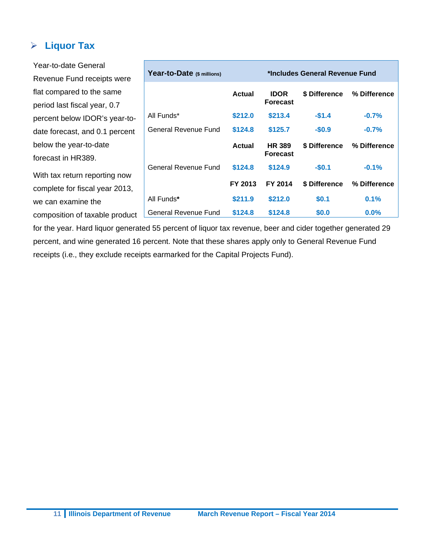# **Liquor Tax**

Year-to-date General Revenue Fund receipts were flat compared to the same period last fiscal year, 0.7 percent below IDOR's year-todate forecast, and 0.1 percent below the year-to-date forecast in HR389. With tax return reporting now complete for fiscal year 2013, we can examine the composition of taxable product **Year-to-Date (\$ millions) \*Includes General Revenue Fund Actual IDOR Forecast \$ Difference % Difference** All Funds\* **\$212.0 \$213.4 -\$1.4 -0.7%**  General Revenue Fund \$124.8 \$125.7 - \$0.9 - 0.7% **Actual HR 389 Forecast \$ Difference % Difference** General Revenue Fund \$124.8 \$124.9 - \$0.1 - 0.1% **FY 2013 FY 2014 \$ Difference % Difference** All Funds**\* \$211.9 \$212.0 \$0.1 0.1%**  General Revenue Fund **\$124.8 \$124.8 \$0.0 0.0%** 

for the year. Hard liquor generated 55 percent of liquor tax revenue, beer and cider together generated 29 percent, and wine generated 16 percent. Note that these shares apply only to General Revenue Fund receipts (i.e., they exclude receipts earmarked for the Capital Projects Fund).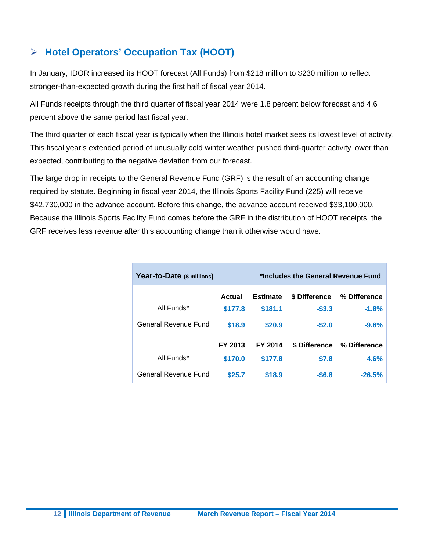# **Hotel Operators' Occupation Tax (HOOT)**

In January, IDOR increased its HOOT forecast (All Funds) from \$218 million to \$230 million to reflect stronger-than-expected growth during the first half of fiscal year 2014.

All Funds receipts through the third quarter of fiscal year 2014 were 1.8 percent below forecast and 4.6 percent above the same period last fiscal year.

The third quarter of each fiscal year is typically when the Illinois hotel market sees its lowest level of activity. This fiscal year's extended period of unusually cold winter weather pushed third-quarter activity lower than expected, contributing to the negative deviation from our forecast.

The large drop in receipts to the General Revenue Fund (GRF) is the result of an accounting change required by statute. Beginning in fiscal year 2014, the Illinois Sports Facility Fund (225) will receive \$42,730,000 in the advance account. Before this change, the advance account received \$33,100,000. Because the Illinois Sports Facility Fund comes before the GRF in the distribution of HOOT receipts, the GRF receives less revenue after this accounting change than it otherwise would have.

| Year-to-Date (\$ millions) |         | *Includes the General Revenue Fund |               |              |  |  |  |
|----------------------------|---------|------------------------------------|---------------|--------------|--|--|--|
|                            | Actual  | <b>Estimate</b>                    | \$ Difference | % Difference |  |  |  |
| All Funds*                 | \$177.8 | \$181.1                            | $-53.3$       | $-1.8%$      |  |  |  |
| General Revenue Fund       | \$18.9  | \$20.9                             | $-$2.0$       | $-9.6%$      |  |  |  |
|                            | FY 2013 | FY 2014                            | \$ Difference | % Difference |  |  |  |
| All Funds*                 | \$170.0 | \$177.8                            | \$7.8         | 4.6%         |  |  |  |
| General Revenue Fund       | \$25.7  | \$18.9                             | $-$6.8$       | $-26.5%$     |  |  |  |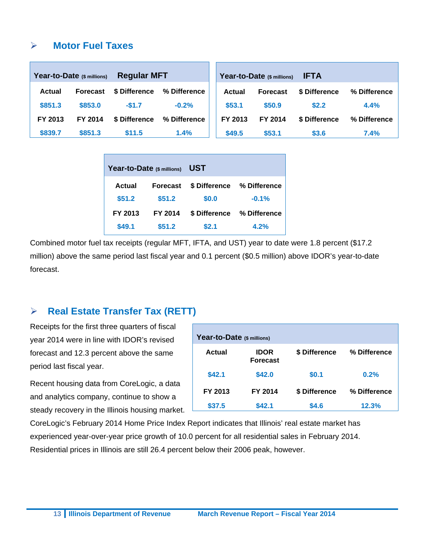#### **Motor Fuel Taxes**

|               | Year-to-Date (\$ millions) | <b>Regular MFT</b> |              |               | Year-to-Date (\$ millions) | <b>IFTA</b>   |              |
|---------------|----------------------------|--------------------|--------------|---------------|----------------------------|---------------|--------------|
| <b>Actual</b> | <b>Forecast</b>            | \$ Difference      | % Difference | <b>Actual</b> | <b>Forecast</b>            | \$ Difference | % Difference |
| \$851.3       | \$853.0                    | $-$1.7$            | $-0.2%$      | \$53.1        | \$50.9                     | \$2.2         | 4.4%         |
| FY 2013       | FY 2014                    | \$ Difference      | % Difference | FY 2013       | FY 2014                    | \$ Difference | % Difference |
| \$839.7       | \$851.3                    | \$11.5             | 1.4%         | \$49.5        | \$53.1                     | \$3.6         | 7.4%         |

| Year-to-Date (\$ millions) |         | UST           |              |  |  |  |
|----------------------------|---------|---------------|--------------|--|--|--|
| Actual<br><b>Forecast</b>  |         | \$ Difference | % Difference |  |  |  |
| \$51.2                     | \$51.2  | \$0.0         | $-0.1%$      |  |  |  |
| FY 2013                    | FY 2014 | \$ Difference | % Difference |  |  |  |
| \$49.1                     | \$51.2  | \$2.1         | 4.2%         |  |  |  |

Combined motor fuel tax receipts (regular MFT, IFTA, and UST) year to date were 1.8 percent (\$17.2 million) above the same period last fiscal year and 0.1 percent (\$0.5 million) above IDOR's year-to-date forecast.

# **Real Estate Transfer Tax (RETT)**

Receipts for the first three quarters of fiscal year 2014 were in line with IDOR's revised forecast and 12.3 percent above the same period last fiscal year.

Recent housing data from CoreLogic, a data and analytics company, continue to show a steady recovery in the Illinois housing market.

| Year-to-Date (\$ millions) |                                |               |              |  |  |  |  |  |  |
|----------------------------|--------------------------------|---------------|--------------|--|--|--|--|--|--|
| Actual                     | <b>IDOR</b><br><b>Forecast</b> | \$ Difference | % Difference |  |  |  |  |  |  |
| \$42.1                     | \$42.0                         | \$0.1         | 0.2%         |  |  |  |  |  |  |
| FY 2013                    | FY 2014                        | \$ Difference | % Difference |  |  |  |  |  |  |
| \$37.5                     | \$42.1                         | \$4.6         | 12.3%        |  |  |  |  |  |  |

CoreLogic's February 2014 Home Price Index Report indicates that Illinois' real estate market has experienced year-over-year price growth of 10.0 percent for all residential sales in February 2014. Residential prices in Illinois are still 26.4 percent below their 2006 peak, however.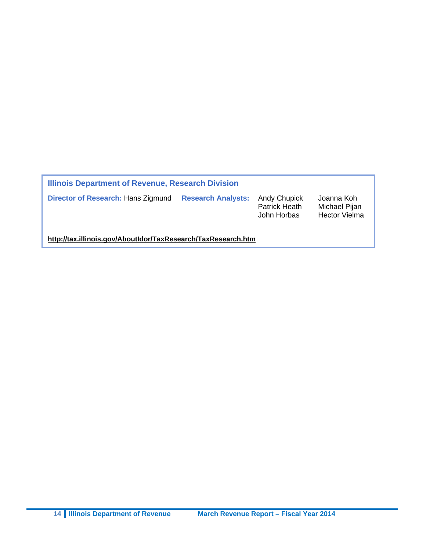| Illinois Department of Revenue, Research Division |                           |                                              |                                                     |  |  |  |  |
|---------------------------------------------------|---------------------------|----------------------------------------------|-----------------------------------------------------|--|--|--|--|
| Director of Research: Hans Zigmund                | <b>Research Analysts:</b> | Andy Chupick<br>Patrick Heath<br>John Horbas | Joanna Koh<br>Michael Pijan<br><b>Hector Vielma</b> |  |  |  |  |

**http://tax.illinois.gov/AboutIdor/TaxResearch/TaxResearch.htm**